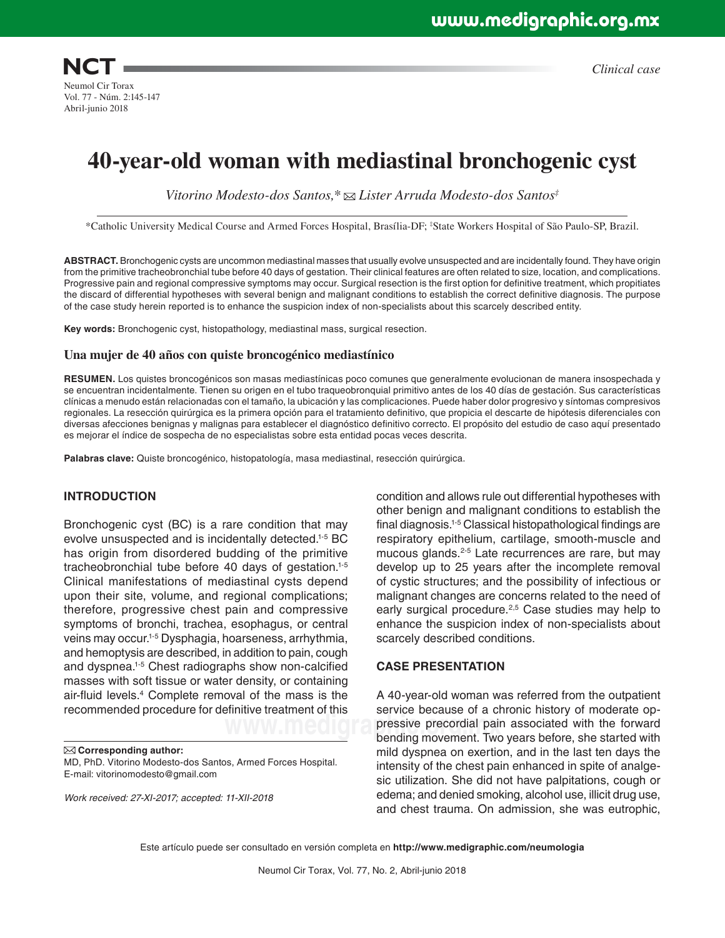**NCT** Neumol Cir Torax Vol. 77 - Núm. 2:145-147 Abril-junio 2018

*Clinical case*

# **40-year-old woman with mediastinal bronchogenic cyst**

*Vitorino Modesto-dos Santos,\* Lister Arruda Modesto-dos Santos‡*

\*Catholic University Medical Course and Armed Forces Hospital, Brasília-DF; ‡ State Workers Hospital of São Paulo-SP, Brazil.

**ABSTRACT.** Bronchogenic cysts are uncommon mediastinal masses that usually evolve unsuspected and are incidentally found. They have origin from the primitive tracheobronchial tube before 40 days of gestation. Their clinical features are often related to size, location, and complications. Progressive pain and regional compressive symptoms may occur. Surgical resection is the first option for definitive treatment, which propitiates the discard of differential hypotheses with several benign and malignant conditions to establish the correct definitive diagnosis. The purpose of the case study herein reported is to enhance the suspicion index of non-specialists about this scarcely described entity.

**Key words:** Bronchogenic cyst, histopathology, mediastinal mass, surgical resection.

#### **Una mujer de 40 años con quiste broncogénico mediastínico**

**RESUMEN.** Los quistes broncogénicos son masas mediastínicas poco comunes que generalmente evolucionan de manera insospechada y se encuentran incidentalmente. Tienen su origen en el tubo traqueobronquial primitivo antes de los 40 días de gestación. Sus características clínicas a menudo están relacionadas con el tamaño, la ubicación y las complicaciones. Puede haber dolor progresivo y síntomas compresivos regionales. La resección quirúrgica es la primera opción para el tratamiento definitivo, que propicia el descarte de hipótesis diferenciales con diversas afecciones benignas y malignas para establecer el diagnóstico definitivo correcto. El propósito del estudio de caso aquí presentado es mejorar el índice de sospecha de no especialistas sobre esta entidad pocas veces descrita.

**Palabras clave:** Quiste broncogénico, histopatología, masa mediastinal, resección quirúrgica.

### **INTRODUCTION**

Bronchogenic cyst (BC) is a rare condition that may evolve unsuspected and is incidentally detected.1-5 BC has origin from disordered budding of the primitive tracheobronchial tube before 40 days of gestation.1-5 Clinical manifestations of mediastinal cysts depend upon their site, volume, and regional complications; therefore, progressive chest pain and compressive symptoms of bronchi, trachea, esophagus, or central veins may occur.1-5 Dysphagia, hoarseness, arrhythmia, and hemoptysis are described, in addition to pain, cough and dyspnea.1-5 Chest radiographs show non-calcified masses with soft tissue or water density, or containing air-fluid levels.4 Complete removal of the mass is the recommended procedure for definitive treatment of this

**Corresponding author:**

MD, PhD. Vitorino Modesto-dos Santos, Armed Forces Hospital. E-mail: vitorinomodesto@gmail.com

*Work received: 27-XI-2017; accepted: 11-XII-2018*

condition and allows rule out differential hypotheses with other benign and malignant conditions to establish the final diagnosis.1-5 Classical histopathological findings are respiratory epithelium, cartilage, smooth-muscle and mucous glands.<sup>2-5</sup> Late recurrences are rare, but may develop up to 25 years after the incomplete removal of cystic structures; and the possibility of infectious or malignant changes are concerns related to the need of early surgical procedure.<sup>2,5</sup> Case studies may help to enhance the suspicion index of non-specialists about scarcely described conditions.

#### **CASE PRESENTATION**

**WWW.Medigraphics** precordial pain associated with the forward A 40-year-old woman was referred from the outpatient service because of a chronic history of moderate opbending movement. Two years before, she started with mild dyspnea on exertion, and in the last ten days the intensity of the chest pain enhanced in spite of analgesic utilization. She did not have palpitations, cough or edema; and denied smoking, alcohol use, illicit drug use, and chest trauma. On admission, she was eutrophic,

Este artículo puede ser consultado en versión completa en **http://www.medigraphic.com/neumologia**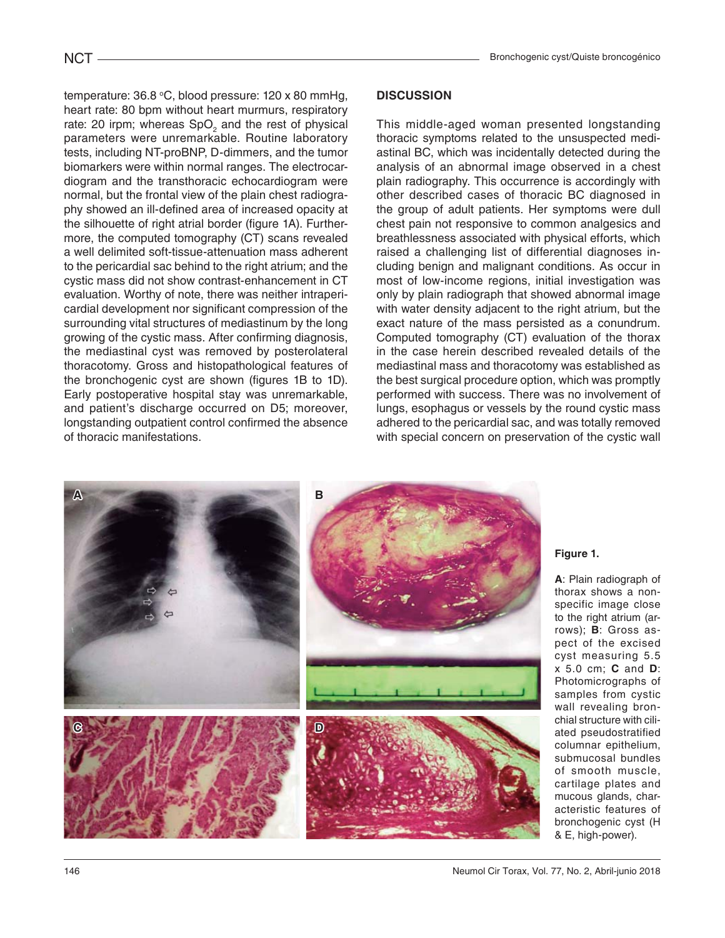temperature:  $36.8 \text{ °C}$ , blood pressure: 120 x 80 mmHg, heart rate: 80 bpm without heart murmurs, respiratory rate: 20 irpm; whereas  $SpO<sub>2</sub>$  and the rest of physical parameters were unremarkable. Routine laboratory tests, including NT-proBNP, D-dimmers, and the tumor biomarkers were within normal ranges. The electrocardiogram and the transthoracic echocardiogram were normal, but the frontal view of the plain chest radiography showed an ill-defined area of increased opacity at the silhouette of right atrial border (figure 1A). Furthermore, the computed tomography (CT) scans revealed a well delimited soft-tissue-attenuation mass adherent to the pericardial sac behind to the right atrium; and the cystic mass did not show contrast-enhancement in CT evaluation. Worthy of note, there was neither intrapericardial development nor significant compression of the surrounding vital structures of mediastinum by the long growing of the cystic mass. After confirming diagnosis, the mediastinal cyst was removed by posterolateral thoracotomy. Gross and histopathological features of the bronchogenic cyst are shown (figures 1B to 1D). Early postoperative hospital stay was unremarkable, and patient's discharge occurred on D5; moreover, longstanding outpatient control confirmed the absence of thoracic manifestations.

### **DISCUSSION**

This middle-aged woman presented longstanding thoracic symptoms related to the unsuspected mediastinal BC, which was incidentally detected during the analysis of an abnormal image observed in a chest plain radiography. This occurrence is accordingly with other described cases of thoracic BC diagnosed in the group of adult patients. Her symptoms were dull chest pain not responsive to common analgesics and breathlessness associated with physical efforts, which raised a challenging list of differential diagnoses including benign and malignant conditions. As occur in most of low-income regions, initial investigation was only by plain radiograph that showed abnormal image with water density adjacent to the right atrium, but the exact nature of the mass persisted as a conundrum. Computed tomography (CT) evaluation of the thorax in the case herein described revealed details of the mediastinal mass and thoracotomy was established as the best surgical procedure option, which was promptly performed with success. There was no involvement of lungs, esophagus or vessels by the round cystic mass adhered to the pericardial sac, and was totally removed with special concern on preservation of the cystic wall



**Figure 1.**

**A**: Plain radiograph of thorax shows a nonspecific image close to the right atrium (arrows); **B**: Gross aspect of the excised cyst measuring 5.5 x 5.0 cm; **C** and **D**: Photomicrographs of samples from cystic wall revealing bronchial structure with ciliated pseudostratified columnar epithelium, submucosal bundles of smooth muscle, cartilage plates and mucous glands, characteristic features of bronchogenic cyst (H & E, high-power).